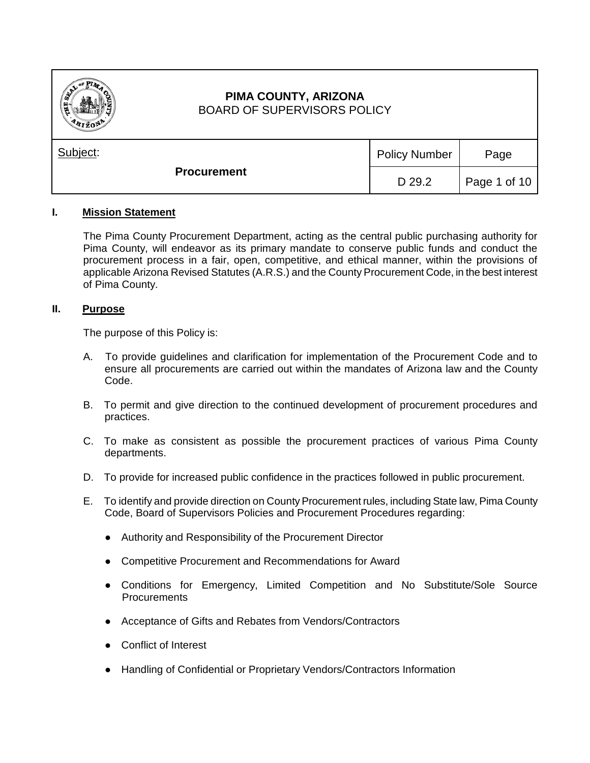

# **PIMA COUNTY, ARIZONA** BOARD OF SUPERVISORS POLICY

| Subject:           | <b>Policy Number</b> | Page                         |
|--------------------|----------------------|------------------------------|
| <b>Procurement</b> | D 29.2               | $\vert$ Page 1 of 10 $\vert$ |

## **I. Mission Statement**

The Pima County Procurement Department, acting as the central public purchasing authority for Pima County, will endeavor as its primary mandate to conserve public funds and conduct the procurement process in a fair, open, competitive, and ethical manner, within the provisions of applicable Arizona Revised Statutes (A.R.S.) and the County Procurement Code, in the best interest of Pima County.

## **II. Purpose**

The purpose of this Policy is:

- A. To provide guidelines and clarification for implementation of the Procurement Code and to ensure all procurements are carried out within the mandates of Arizona law and the County Code.
- B. To permit and give direction to the continued development of procurement procedures and practices.
- C. To make as consistent as possible the procurement practices of various Pima County departments.
- D. To provide for increased public confidence in the practices followed in public procurement.
- E. To identify and provide direction on County Procurement rules, including State law, Pima County Code, Board of Supervisors Policies and Procurement Procedures regarding:
	- Authority and Responsibility of the Procurement Director
	- Competitive Procurement and Recommendations for Award
	- Conditions for Emergency, Limited Competition and No Substitute/Sole Source Procurements
	- Acceptance of Gifts and Rebates from Vendors/Contractors
	- Conflict of Interest
	- Handling of Confidential or Proprietary Vendors/Contractors Information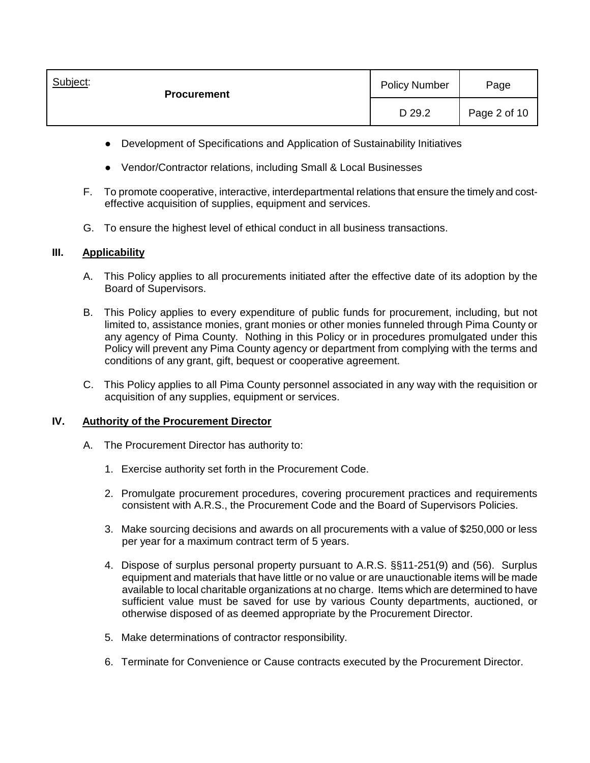| Subject:<br><b>Procurement</b> | <b>Policy Number</b> | Page         |
|--------------------------------|----------------------|--------------|
|                                | D 29.2               | Page 2 of 10 |

- Development of Specifications and Application of Sustainability Initiatives
- Vendor/Contractor relations, including Small & Local Businesses
- F. To promote cooperative, interactive, interdepartmental relations that ensure the timely and costeffective acquisition of supplies, equipment and services.
- G. To ensure the highest level of ethical conduct in all business transactions.

## **III. Applicability**

- A. This Policy applies to all procurements initiated after the effective date of its adoption by the Board of Supervisors.
- B. This Policy applies to every expenditure of public funds for procurement, including, but not limited to, assistance monies, grant monies or other monies funneled through Pima County or any agency of Pima County. Nothing in this Policy or in procedures promulgated under this Policy will prevent any Pima County agency or department from complying with the terms and conditions of any grant, gift, bequest or cooperative agreement.
- C. This Policy applies to all Pima County personnel associated in any way with the requisition or acquisition of any supplies, equipment or services.

## **IV. Authority of the Procurement Director**

- A. The Procurement Director has authority to:
	- 1. Exercise authority set forth in the Procurement Code.
	- 2. Promulgate procurement procedures, covering procurement practices and requirements consistent with A.R.S., the Procurement Code and the Board of Supervisors Policies.
	- 3. Make sourcing decisions and awards on all procurements with a value of \$250,000 or less per year for a maximum contract term of 5 years.
	- 4. Dispose of surplus personal property pursuant to A.R.S. §§11-251(9) and (56). Surplus equipment and materials that have little or no value or are unauctionable items will be made available to local charitable organizations at no charge. Items which are determined to have sufficient value must be saved for use by various County departments, auctioned, or otherwise disposed of as deemed appropriate by the Procurement Director.
	- 5. Make determinations of contractor responsibility.
	- 6. Terminate for Convenience or Cause contracts executed by the Procurement Director.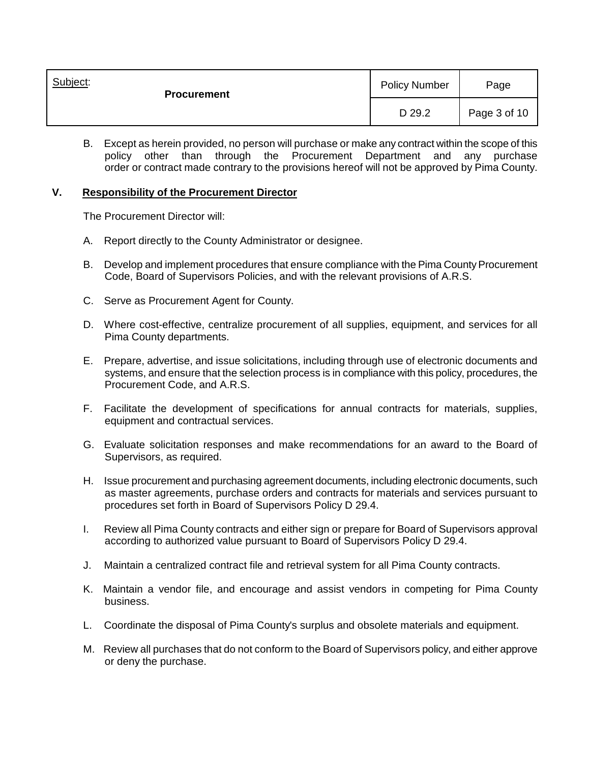| Subject:<br><b>Procurement</b> | <b>Policy Number</b> | Page         |
|--------------------------------|----------------------|--------------|
|                                | D 29.2               | Page 3 of 10 |

B. Except as herein provided, no person will purchase or make any contract within the scope of this policy other than through the Procurement Department and any purchase order or contract made contrary to the provisions hereof will not be approved by Pima County.

#### **V. Responsibility of the Procurement Director**

The Procurement Director will:

- A. Report directly to the County Administrator or designee.
- B. Develop and implement procedures that ensure compliance with the Pima County Procurement Code, Board of Supervisors Policies, and with the relevant provisions of A.R.S.
- C. Serve as Procurement Agent for County.
- D. Where cost-effective, centralize procurement of all supplies, equipment, and services for all Pima County departments.
- E. Prepare, advertise, and issue solicitations, including through use of electronic documents and systems, and ensure that the selection process is in compliance with this policy, procedures, the Procurement Code, and A.R.S.
- F. Facilitate the development of specifications for annual contracts for materials, supplies, equipment and contractual services.
- G. Evaluate solicitation responses and make recommendations for an award to the Board of Supervisors, as required.
- H. Issue procurement and purchasing agreement documents, including electronic documents, such as master agreements, purchase orders and contracts for materials and services pursuant to procedures set forth in Board of Supervisors Policy D 29.4.
- I. Review all Pima County contracts and either sign or prepare for Board of Supervisors approval according to authorized value pursuant to Board of Supervisors Policy D 29.4.
- J. Maintain a centralized contract file and retrieval system for all Pima County contracts.
- K. Maintain a vendor file, and encourage and assist vendors in competing for Pima County business.
- L. Coordinate the disposal of Pima County's surplus and obsolete materials and equipment.
- M. Review all purchases that do not conform to the Board of Supervisors policy, and either approve or deny the purchase.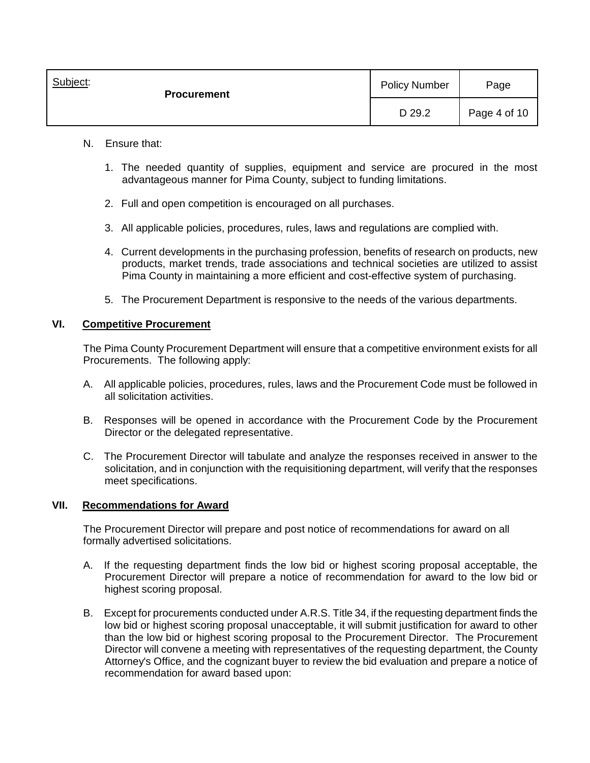| Subject:<br><b>Procurement</b> | <b>Policy Number</b> | Page         |
|--------------------------------|----------------------|--------------|
|                                | D 29.2               | Page 4 of 10 |

- N. Ensure that:
	- 1. The needed quantity of supplies, equipment and service are procured in the most advantageous manner for Pima County, subject to funding limitations.
	- 2. Full and open competition is encouraged on all purchases.
	- 3. All applicable policies, procedures, rules, laws and regulations are complied with.
	- 4. Current developments in the purchasing profession, benefits of research on products, new products, market trends, trade associations and technical societies are utilized to assist Pima County in maintaining a more efficient and cost-effective system of purchasing.
	- 5. The Procurement Department is responsive to the needs of the various departments.

## **VI. Competitive Procurement**

The Pima County Procurement Department will ensure that a competitive environment exists for all Procurements. The following apply:

- A. All applicable policies, procedures, rules, laws and the Procurement Code must be followed in all solicitation activities.
- B. Responses will be opened in accordance with the Procurement Code by the Procurement Director or the delegated representative.
- C. The Procurement Director will tabulate and analyze the responses received in answer to the solicitation, and in conjunction with the requisitioning department, will verify that the responses meet specifications.

## **VII. Recommendations for Award**

The Procurement Director will prepare and post notice of recommendations for award on all formally advertised solicitations.

- A. If the requesting department finds the low bid or highest scoring proposal acceptable, the Procurement Director will prepare a notice of recommendation for award to the low bid or highest scoring proposal.
- B. Except for procurements conducted under A.R.S. Title 34, if the requesting department finds the low bid or highest scoring proposal unacceptable, it will submit justification for award to other than the low bid or highest scoring proposal to the Procurement Director. The Procurement Director will convene a meeting with representatives of the requesting department, the County Attorney's Office, and the cognizant buyer to review the bid evaluation and prepare a notice of recommendation for award based upon: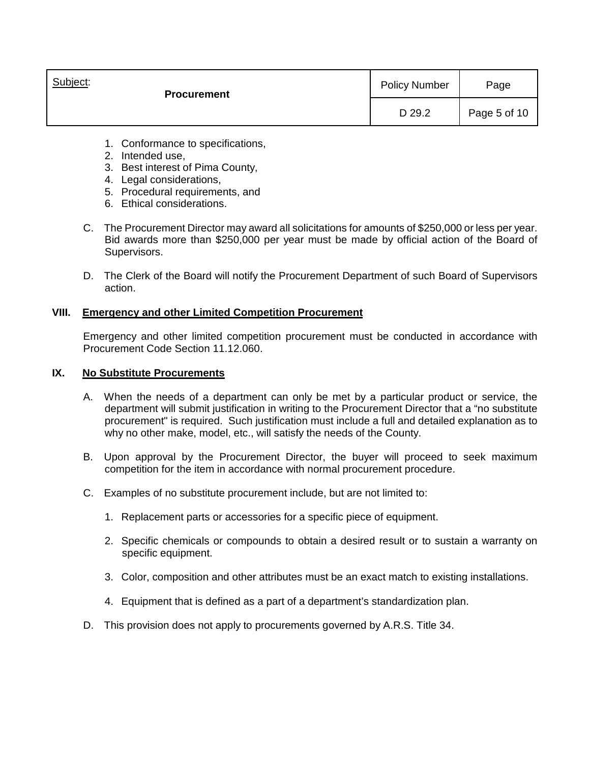| Subject:<br><b>Procurement</b> | <b>Policy Number</b> | Page         |
|--------------------------------|----------------------|--------------|
|                                | D 29.2               | Page 5 of 10 |

- 1. Conformance to specifications,
- 2. Intended use,
- 3. Best interest of Pima County,
- 4. Legal considerations,
- 5. Procedural requirements, and
- 6. Ethical considerations.
- C. The Procurement Director may award all solicitations for amounts of \$250,000 or less per year. Bid awards more than \$250,000 per year must be made by official action of the Board of Supervisors.
- D. The Clerk of the Board will notify the Procurement Department of such Board of Supervisors action.

## **VIII. Emergency and other Limited Competition Procurement**

Emergency and other limited competition procurement must be conducted in accordance with Procurement Code Section 11.12.060.

## **IX. No Substitute Procurements**

- A. When the needs of a department can only be met by a particular product or service, the department will submit justification in writing to the Procurement Director that a "no substitute procurement" is required. Such justification must include a full and detailed explanation as to why no other make, model, etc., will satisfy the needs of the County.
- B. Upon approval by the Procurement Director, the buyer will proceed to seek maximum competition for the item in accordance with normal procurement procedure.
- C. Examples of no substitute procurement include, but are not limited to:
	- 1. Replacement parts or accessories for a specific piece of equipment.
	- 2. Specific chemicals or compounds to obtain a desired result or to sustain a warranty on specific equipment.
	- 3. Color, composition and other attributes must be an exact match to existing installations.
	- 4. Equipment that is defined as a part of a department's standardization plan.
- D. This provision does not apply to procurements governed by A.R.S. Title 34.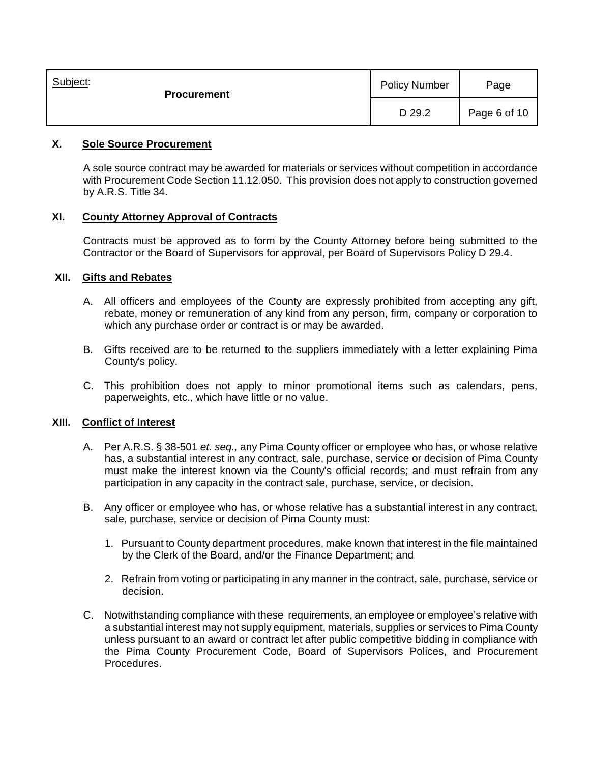| Subject:<br><b>Procurement</b> | <b>Policy Number</b> | Page         |
|--------------------------------|----------------------|--------------|
|                                | D 29.2               | Page 6 of 10 |

## **X. Sole Source Procurement**

A sole source contract may be awarded for materials or services without competition in accordance with Procurement Code Section 11.12.050. This provision does not apply to construction governed by A.R.S. Title 34.

## **XI. County Attorney Approval of Contracts**

Contracts must be approved as to form by the County Attorney before being submitted to the Contractor or the Board of Supervisors for approval, per Board of Supervisors Policy D 29.4.

## **XII. Gifts and Rebates**

- A. All officers and employees of the County are expressly prohibited from accepting any gift, rebate, money or remuneration of any kind from any person, firm, company or corporation to which any purchase order or contract is or may be awarded.
- B. Gifts received are to be returned to the suppliers immediately with a letter explaining Pima County's policy.
- C. This prohibition does not apply to minor promotional items such as calendars, pens, paperweights, etc., which have little or no value.

## **XIII. Conflict of Interest**

- A. Per A.R.S. § 38-501 *et. seq.,* any Pima County officer or employee who has, or whose relative has, a substantial interest in any contract, sale, purchase, service or decision of Pima County must make the interest known via the County's official records; and must refrain from any participation in any capacity in the contract sale, purchase, service, or decision.
- B. Any officer or employee who has, or whose relative has a substantial interest in any contract, sale, purchase, service or decision of Pima County must:
	- 1. Pursuant to County department procedures, make known that interest in the file maintained by the Clerk of the Board, and/or the Finance Department; and
	- 2. Refrain from voting or participating in any manner in the contract, sale, purchase, service or decision.
- C. Notwithstanding compliance with these requirements, an employee or employee's relative with a substantial interest may not supply equipment, materials, supplies or services to Pima County unless pursuant to an award or contract let after public competitive bidding in compliance with the Pima County Procurement Code, Board of Supervisors Polices, and Procurement Procedures.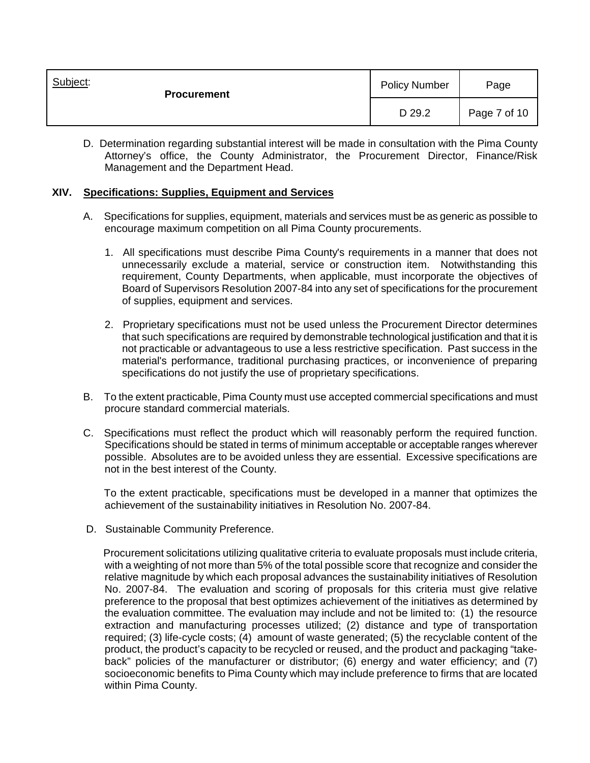| Subject:<br><b>Procurement</b> | <b>Policy Number</b> | Page         |
|--------------------------------|----------------------|--------------|
|                                | D 29.2               | Page 7 of 10 |

D. Determination regarding substantial interest will be made in consultation with the Pima County Attorney's office, the County Administrator, the Procurement Director, Finance/Risk Management and the Department Head.

## **XIV. Specifications: Supplies, Equipment and Services**

- A. Specifications for supplies, equipment, materials and services must be as generic as possible to encourage maximum competition on all Pima County procurements.
	- 1. All specifications must describe Pima County's requirements in a manner that does not unnecessarily exclude a material, service or construction item. Notwithstanding this requirement, County Departments, when applicable, must incorporate the objectives of Board of Supervisors Resolution 2007-84 into any set of specifications for the procurement of supplies, equipment and services.
	- 2. Proprietary specifications must not be used unless the Procurement Director determines that such specifications are required by demonstrable technological justification and that it is not practicable or advantageous to use a less restrictive specification. Past success in the material's performance, traditional purchasing practices, or inconvenience of preparing specifications do not justify the use of proprietary specifications.
- B. To the extent practicable, Pima County must use accepted commercial specifications and must procure standard commercial materials.
- C. Specifications must reflect the product which will reasonably perform the required function. Specifications should be stated in terms of minimum acceptable or acceptable ranges wherever possible. Absolutes are to be avoided unless they are essential. Excessive specifications are not in the best interest of the County.

 To the extent practicable, specifications must be developed in a manner that optimizes the achievement of the sustainability initiatives in Resolution No. 2007-84.

D. Sustainable Community Preference.

 Procurement solicitations utilizing qualitative criteria to evaluate proposals must include criteria, with a weighting of not more than 5% of the total possible score that recognize and consider the relative magnitude by which each proposal advances the sustainability initiatives of Resolution No. 2007-84. The evaluation and scoring of proposals for this criteria must give relative preference to the proposal that best optimizes achievement of the initiatives as determined by the evaluation committee. The evaluation may include and not be limited to: (1) the resource extraction and manufacturing processes utilized; (2) distance and type of transportation required; (3) life-cycle costs; (4) amount of waste generated; (5) the recyclable content of the product, the product's capacity to be recycled or reused, and the product and packaging "takeback" policies of the manufacturer or distributor; (6) energy and water efficiency; and (7) socioeconomic benefits to Pima County which may include preference to firms that are located within Pima County.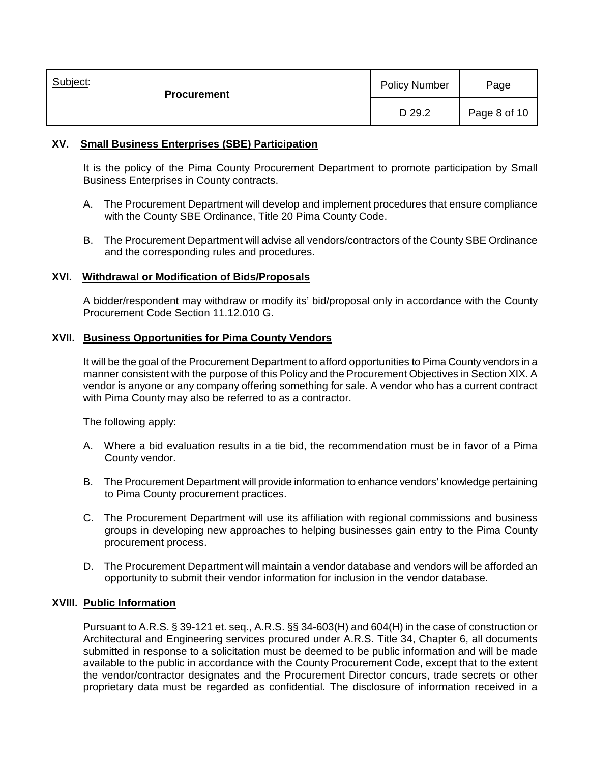| Subject:<br><b>Procurement</b> | <b>Policy Number</b> | Page         |
|--------------------------------|----------------------|--------------|
|                                | D 29.2               | Page 8 of 10 |

## **XV. Small Business Enterprises (SBE) Participation**

It is the policy of the Pima County Procurement Department to promote participation by Small Business Enterprises in County contracts.

- A. The Procurement Department will develop and implement procedures that ensure compliance with the County SBE Ordinance, Title 20 Pima County Code.
- B. The Procurement Department will advise all vendors/contractors of the County SBE Ordinance and the corresponding rules and procedures.

## **XVI. Withdrawal or Modification of Bids/Proposals**

A bidder/respondent may withdraw or modify its' bid/proposal only in accordance with the County Procurement Code Section 11.12.010 G.

## **XVII. Business Opportunities for Pima County Vendors**

It will be the goal of the Procurement Department to afford opportunities to Pima County vendors in a manner consistent with the purpose of this Policy and the Procurement Objectives in Section XIX. A vendor is anyone or any company offering something for sale. A vendor who has a current contract with Pima County may also be referred to as a contractor.

The following apply:

- A. Where a bid evaluation results in a tie bid, the recommendation must be in favor of a Pima County vendor.
- B. The Procurement Department will provide information to enhance vendors' knowledge pertaining to Pima County procurement practices.
- C. The Procurement Department will use its affiliation with regional commissions and business groups in developing new approaches to helping businesses gain entry to the Pima County procurement process.
- D. The Procurement Department will maintain a vendor database and vendors will be afforded an opportunity to submit their vendor information for inclusion in the vendor database.

#### **XVIII. Public Information**

Pursuant to A.R.S. § 39-121 et. seq., A.R.S. §§ 34-603(H) and 604(H) in the case of construction or Architectural and Engineering services procured under A.R.S. Title 34, Chapter 6, all documents submitted in response to a solicitation must be deemed to be public information and will be made available to the public in accordance with the County Procurement Code, except that to the extent the vendor/contractor designates and the Procurement Director concurs, trade secrets or other proprietary data must be regarded as confidential. The disclosure of information received in a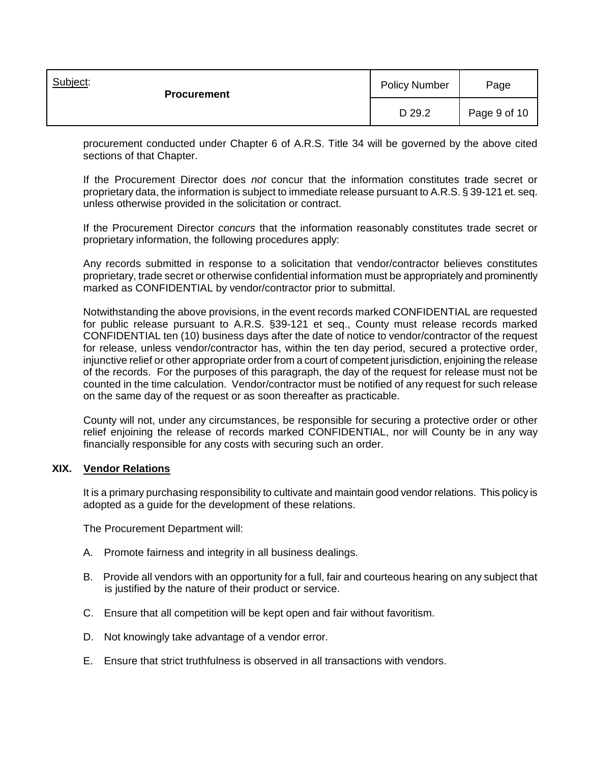| Subject:<br><b>Procurement</b> | <b>Policy Number</b> | Page         |
|--------------------------------|----------------------|--------------|
|                                | D 29.2               | Page 9 of 10 |

procurement conducted under Chapter 6 of A.R.S. Title 34 will be governed by the above cited sections of that Chapter.

If the Procurement Director does *not* concur that the information constitutes trade secret or proprietary data, the information is subject to immediate release pursuant to A.R.S. § 39-121 et. seq. unless otherwise provided in the solicitation or contract.

If the Procurement Director *concurs* that the information reasonably constitutes trade secret or proprietary information, the following procedures apply:

Any records submitted in response to a solicitation that vendor/contractor believes constitutes proprietary, trade secret or otherwise confidential information must be appropriately and prominently marked as CONFIDENTIAL by vendor/contractor prior to submittal.

Notwithstanding the above provisions, in the event records marked CONFIDENTIAL are requested for public release pursuant to A.R.S. §39-121 et seq., County must release records marked CONFIDENTIAL ten (10) business days after the date of notice to vendor/contractor of the request for release, unless vendor/contractor has, within the ten day period, secured a protective order, injunctive relief or other appropriate order from a court of competent jurisdiction, enjoining the release of the records. For the purposes of this paragraph, the day of the request for release must not be counted in the time calculation. Vendor/contractor must be notified of any request for such release on the same day of the request or as soon thereafter as practicable.

County will not, under any circumstances, be responsible for securing a protective order or other relief enjoining the release of records marked CONFIDENTIAL, nor will County be in any way financially responsible for any costs with securing such an order.

#### **XIX. Vendor Relations**

It is a primary purchasing responsibility to cultivate and maintain good vendor relations. This policy is adopted as a guide for the development of these relations.

The Procurement Department will:

- A. Promote fairness and integrity in all business dealings.
- B. Provide all vendors with an opportunity for a full, fair and courteous hearing on any subject that is justified by the nature of their product or service.
- C. Ensure that all competition will be kept open and fair without favoritism.
- D. Not knowingly take advantage of a vendor error.
- E. Ensure that strict truthfulness is observed in all transactions with vendors.